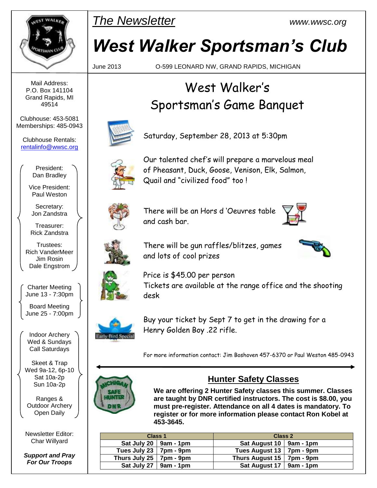

Mail Address: P.O. Box 141104 Grand Rapids, MI 49514

Clubhouse: 453-5081 Memberships: 485-0943

Clubhouse Rentals: [rentalinfo@wwsc.org](mailto:wwscrental@aol.com)

> President: Dan Bradley

Vice President: Paul Weston

Secretary: Jon Zandstra

Treasurer: Rick Zandstra

Trustees: Rich VanderMeer Jim Rosin Dale Engstrom

Charter Meeting June 13 - 7:30pm

Board Meeting June 25 - 7:00pm

Indoor Archery Wed & Sundays Call Saturdays

Skeet & Trap Wed 9a-12, 6p-10 Sat 10a-2p Sun 10a-2p

Ranges & Outdoor Archery Open Daily

Newsletter Editor: Char Willyard

*Support and Pray For Our Troops*



# *West Walker Sportsman's Club*

June 2013 O-599 LEONARD NW, GRAND RAPIDS, MICHIGAN

## West Walker's Sportsman's Game Banquet



Saturday, September 28, 2013 at 5:30pm



Our talented chef's will prepare a marvelous meal of Pheasant, Duck, Goose, Venison, Elk, Salmon, Quail and "civilized food" too !



There will be an Hors d 'Oeuvres table and cash bar.





There will be gun raffles/blitzes, games and lots of cool prizes



Price is \$45.00 per person Tickets are available at the range office and the shooting desk



Buy your ticket by Sept 7 to get in the drawing for a Henry Golden Boy .22 rifle.

For more information contact: Jim Boshoven 457-6370 or Paul Weston 485-0943



#### **Hunter Safety Classes**

**We are offering 2 Hunter Safety classes this summer. Classes are taught by DNR certified instructors. The cost is \$8.00, you must pre-register. Attendance on all 4 dates is mandatory. To register or for more information please contact Ron Kobel at 453-3645.**

| <b>Class 1</b>                  |  | Class 2                           |  |  |
|---------------------------------|--|-----------------------------------|--|--|
| Sat July 20 $\vert$ 9am - 1pm   |  | Sat August 10   9am - 1pm         |  |  |
| Tues July 23 $ $ 7pm - 9pm      |  | Tues August 13   7pm - 9pm        |  |  |
| Thurs July 25 $\vert$ 7pm - 9pm |  | Thurs August $15 \mid 7$ pm - 9pm |  |  |
| Sat July 27 $\vert$ 9am - 1pm   |  | Sat August 17   $9am - 1pm$       |  |  |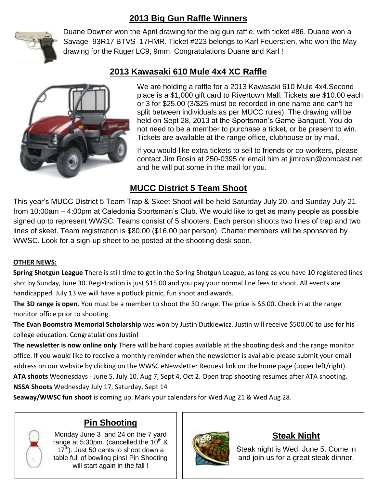### **2013 Big Gun Raffle Winners**



Duane Downer won the April drawing for the big gun raffle, with ticket #86. Duane won a Savage 93R17 BTVS 17HMR. Ticket #223 belongs to Karl Feuerstien, who won the May drawing for the Ruger LC9, 9mm. Congratulations Duane and Karl !



#### **2013 Kawasaki 610 Mule 4x4 XC Raffle**

We are holding a raffle for a 2013 Kawasaki 610 Mule 4x4.Second place is a \$1,000 gift card to Rivertown Mall. Tickets are \$10.00 each or 3 for \$25.00 (3/\$25 must be recorded in one name and can't be split between individuals as per MUCC rules). The drawing will be held on Sept 28, 2013 at the Sportsman's Game Banquet. You do not need to be a member to purchase a ticket, or be present to win. Tickets are available at the range office, clubhouse or by mail.

If you would like extra tickets to sell to friends or co-workers, please contact Jim Rosin at 250-0395 or email him at [jimrosin@comcast.net](mailto:jimrosin@comcast.net)  and he will put some in the mail for you.

#### **MUCC District 5 Team Shoot**

This year's MUCC District 5 Team Trap & Skeet Shoot will be held Saturday July 20, and Sunday July 21 from 10:00am – 4:00pm at Caledonia Sportsman's Club. We would like to get as many people as possible signed up to represent WWSC. Teams consist of 5 shooters. Each person shoots two lines of trap and two lines of skeet. Team registration is \$80.00 (\$16.00 per person). Charter members will be sponsored by WWSC. Look for a sign-up sheet to be posted at the shooting desk soon.

#### **OTHER NEWS:**

**Spring Shotgun League** There is still time to get in the Spring Shotgun League, as long as you have 10 registered lines shot by Sunday, June 30. Registration is just \$15.00 and you pay your normal line fees to shoot. All events are handicapped. July 13 we will have a potluck picnic, fun shoot and awards.

The 3D range is open. You must be a member to shoot the 3D range. The price is \$6.00. Check in at the range monitor office prior to shooting.

**The Evan Boomstra Memorial Scholarship** was won by Justin Dutkiewicz. Justin will receive \$500.00 to use for his college education. Congratulations Justin!

**The newsletter is now online only** There will be hard copies available at the shooting desk and the range monitor office. If you would like to receive a monthly reminder when the newsletter is available please submit your email address on our website by clicking on the WWSC eNewsletter Request link on the home page (upper left/right).

**ATA shoots** Wednesdays - June 5, July 10, Aug 7, Sept 4, Oct 2. Open trap shooting resumes after ATA shooting. **NSSA Shoots** Wednesday July 17, Saturday, Sept 14

**Seaway/WWSC fun shoot** is coming up. Mark your calendars for Wed Aug 21 & Wed Aug 28.

#### **Pin Shooting**

Monday June 3 and 24 on the 7 yard range at 5:30pm. (cancelled the  $10^{th}$  &  $17<sup>th</sup>$ ). Just 50 cents to shoot down a table full of bowling pins! Pin Shooting will start again in the fall !



#### **Steak Night**

Steak night is Wed, June 5. Come in and join us for a great steak dinner.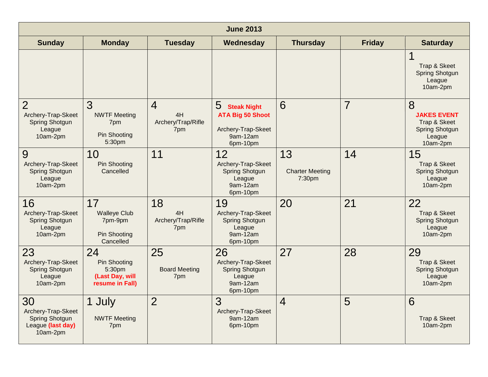| <b>June 2013</b>                                                             |                                                                           |                                                   |                                                                                                  |                                        |                |                                                                                        |  |
|------------------------------------------------------------------------------|---------------------------------------------------------------------------|---------------------------------------------------|--------------------------------------------------------------------------------------------------|----------------------------------------|----------------|----------------------------------------------------------------------------------------|--|
| <b>Sunday</b>                                                                | <b>Monday</b>                                                             | <b>Tuesday</b>                                    | Wednesday                                                                                        | <b>Thursday</b>                        | <b>Friday</b>  | <b>Saturday</b>                                                                        |  |
|                                                                              |                                                                           |                                                   |                                                                                                  |                                        |                | Trap & Skeet<br><b>Spring Shotgun</b><br>League<br>10am-2pm                            |  |
| $\overline{2}$<br>Archery-Trap-Skeet<br>Spring Shotgun<br>League<br>10am-2pm | 3<br><b>NWTF Meeting</b><br>7pm<br><b>Pin Shooting</b><br>5:30pm          | $\overline{4}$<br>4H<br>Archery/Trap/Rifle<br>7pm | 5<br><b>Steak Night</b><br><b>ATA Big 50 Shoot</b><br>Archery-Trap-Skeet<br>9am-12am<br>6pm-10pm | 6                                      | $\overline{7}$ | 8<br><b>JAKES EVENT</b><br>Trap & Skeet<br><b>Spring Shotgun</b><br>League<br>10am-2pm |  |
| 9<br>Archery-Trap-Skeet<br><b>Spring Shotgun</b><br>League<br>10am-2pm       | 10<br><b>Pin Shooting</b><br>Cancelled                                    | 11                                                | 12<br>Archery-Trap-Skeet<br><b>Spring Shotgun</b><br>League<br>9am-12am<br>6pm-10pm              | 13<br><b>Charter Meeting</b><br>7:30pm | 14             | 15<br>Trap & Skeet<br><b>Spring Shotgun</b><br>League<br>10am-2pm                      |  |
| 16<br>Archery-Trap-Skeet<br>Spring Shotgun<br>League<br>10am-2pm             | 17<br><b>Walleye Club</b><br>7pm-9pm<br><b>Pin Shooting</b><br>Cancelled  | 18<br>4H<br>Archery/Trap/Rifle<br>7pm             | 19<br>Archery-Trap-Skeet<br>Spring Shotgun<br>League<br>9am-12am<br>6pm-10pm                     | 20                                     | 21             | 22<br>Trap & Skeet<br>Spring Shotgun<br>League<br>10am-2pm                             |  |
| 23<br>Archery-Trap-Skeet<br><b>Spring Shotgun</b><br>League<br>10am-2pm      | 24<br><b>Pin Shooting</b><br>5:30pm<br>(Last Day, will<br>resume in Fall) | 25<br><b>Board Meeting</b><br>7pm                 | 26<br>Archery-Trap-Skeet<br><b>Spring Shotgun</b><br>League<br>9am-12am<br>6pm-10pm              | 27                                     | 28             | 29<br>Trap & Skeet<br><b>Spring Shotgun</b><br>League<br>10am-2pm                      |  |
| 30<br>Archery-Trap-Skeet<br>Spring Shotgun<br>League (last day)<br>10am-2pm  | 1 July<br><b>NWTF Meeting</b><br>7pm                                      | $\overline{2}$                                    | 3<br>Archery-Trap-Skeet<br>9am-12am<br>6pm-10pm                                                  | $\overline{4}$                         | 5              | 6<br>Trap & Skeet<br>10am-2pm                                                          |  |